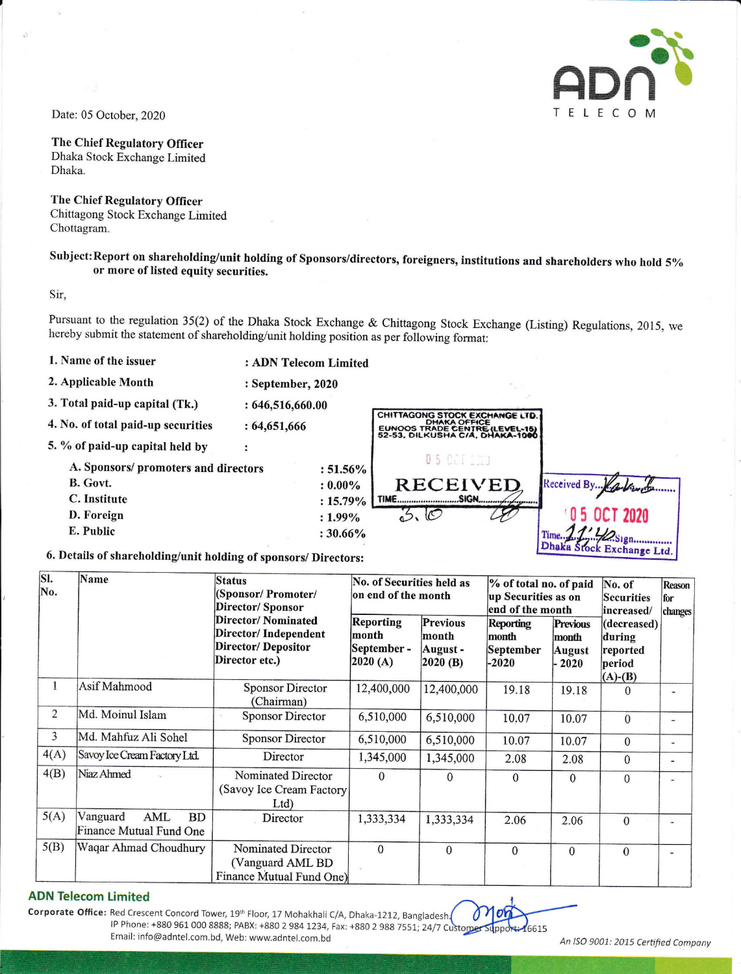

Date: 05 October, 2020

The Chief Regulatory Officer Dhaka Stock Exchange Limited Dhaka.

The Chief Regulatory Officer

Chittagong Stock Exchange Limited Chottagram.

## Subject:Report on shareholding/unit holding of Sponsors/directors, foreigners, institutions and shareholders who hold 5%o or more of listed equity securities.

Sir,

Pursuant to the regulation 35(2) of the Dhaka Stock Exchange & Chittagong Stock Exchange (Listing) Regulations, 2015, we hereby submit the statement of shareholding/unit holding position as per following format:

1. Name of the issuer

: ADN Telecom Limited

: September,2020 : 646,516,660.00 :64,651,666

2. Applicable Month

3. Total paid-up capital (Tk.)

| 4. No. of total paid-up securities                          | : 64,651,666 |             | CHITTAGONG STOCK EXCHANGE LTD.<br><b>DHAKA OFFICE</b><br>EUNOOS TRADE CENTRE (LEVEL-15)<br>52-53, DILKUSHA C/A, DHAKA-1000 |                           |  |
|-------------------------------------------------------------|--------------|-------------|----------------------------------------------------------------------------------------------------------------------------|---------------------------|--|
| 5. % of paid-up capital held by                             |              |             |                                                                                                                            |                           |  |
| A. Sponsors/ promoters and directors                        |              | $: 51.56\%$ | 0 5 00 1 10 2 3                                                                                                            |                           |  |
| B. Govt.                                                    |              | $: 0.00\%$  | RECEIVED                                                                                                                   | Received By. Kallwert     |  |
| C. Institute                                                |              | $: 15.79\%$ |                                                                                                                            |                           |  |
| D. Foreign                                                  |              | $: 1.99\%$  |                                                                                                                            | <b>OCT 2020</b>           |  |
| E. Public                                                   |              | $: 30.66\%$ |                                                                                                                            |                           |  |
| Petails of shareholding/unit holding of groups of Ministers |              |             |                                                                                                                            | Dhaka Stock Exchange Ltd. |  |

## 6. Details of shareholding/unit holding of sponsors/ Directors:

| SI.<br>No.     | Name                                             | <b>Status</b><br>(Sponsor/ Promoter/<br>Director/Sponsor                                          | No. of Securities held as<br>on end of the month |                                                 | % of total no. of paid<br>up Securities as on<br>end of the month |                                                      | No. of<br><b>Securities</b><br>increased/                    | Reason<br>for<br>changes |
|----------------|--------------------------------------------------|---------------------------------------------------------------------------------------------------|--------------------------------------------------|-------------------------------------------------|-------------------------------------------------------------------|------------------------------------------------------|--------------------------------------------------------------|--------------------------|
|                |                                                  | <b>Director/Nominated</b><br>Director/Independent<br><b>Director/ Depositor</b><br>Director etc.) | Reporting<br>month<br>September -<br> 2020(A)    | <b>Previous</b><br>month<br>August -<br>2020(B) | <b>Reporting</b><br>month<br>September<br>$-2020$                 | <b>Previous</b><br>month<br><b>August</b><br>$-2020$ | (decreased)<br>during<br>reported<br>period<br>$(A)$ - $(B)$ |                          |
| $\mathbf{1}$   | Asif Mahmood                                     | <b>Sponsor Director</b><br>(Chairman)                                                             | 12,400,000                                       | 12,400,000                                      | 19.18                                                             | 19.18                                                | $\Omega$                                                     | цú                       |
| $\overline{2}$ | Md. Moinul Islam                                 | <b>Sponsor Director</b>                                                                           | 6,510,000                                        | 6,510,000                                       | 10.07                                                             | 10.07                                                | $\Omega$                                                     | $\overline{a}$           |
| 3              | Md. Mahfuz Ali Sohel                             | <b>Sponsor Director</b>                                                                           | 6,510,000                                        | 6,510,000                                       | 10.07                                                             | 10.07                                                | $\Omega$                                                     | ۰                        |
| 4(A)           | Savoy Ice Cream Factory Ltd.                     | Director                                                                                          | 1,345,000                                        | 1,345,000                                       | 2.08                                                              | 2.08                                                 | $\Omega$                                                     | -                        |
| 4(B)           | Niaz Ahmed                                       | Nominated Director<br>(Savoy Ice Cream Factory)<br>Ltd                                            | $\Omega$                                         | $\Omega$                                        | $\mathbf{0}$                                                      | $\mathbf{0}$                                         | $\Omega$                                                     | $\frac{1}{2}$            |
| 5(A)           | Vanguard<br>AML<br>BD<br>Finance Mutual Fund One | Director                                                                                          | 1,333,334                                        | 1,333,334                                       | 2.06                                                              | 2.06                                                 | $\Omega$                                                     |                          |
| 5(B)           | Waqar Ahmad Choudhury                            | Nominated Director<br>(Vanguard AML BD<br>Finance Mutual Fund One)                                | $\Omega$                                         | $\Omega$                                        | $\overline{0}$                                                    | $\theta$                                             | $\Omega$                                                     | $\overline{\phantom{a}}$ |

## ADN Telecom Limited

Corporate Office: Red Crescent Concord Tower, 19<sup>th</sup> Floor, 17 Mohakhali C/A, Dhaka-1212, Bangladesh. IP Phone: +880 961 000 8888; PABX: +880 2 984 1234, Fax: +880 2 988 7551; 24/7 Customer Supp Email : info@adntel.com. bd, Web : www.ad ntel.com. bd An lSa 9A01: 201"5 Cerbfied Ccmpony